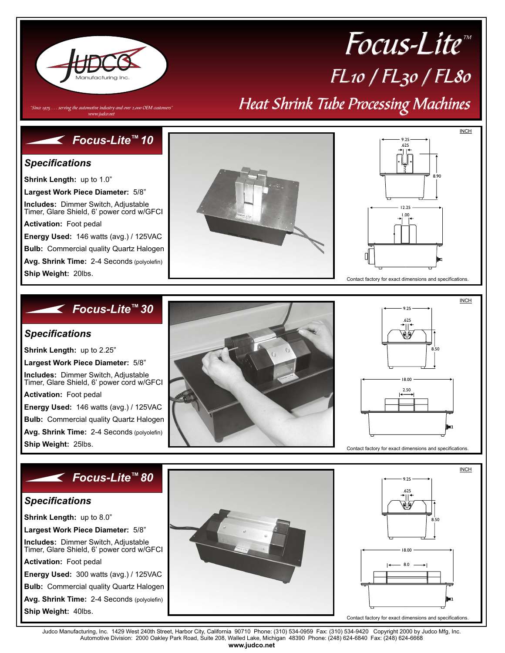

# $FL$ 10 /  $FL$ 30 /  $FL80$ Heat Shrink Tube Processing Machines Focus-Lite™

"Since 1975  $\ldots$  serving the automotive industry and over 2,000 OEM customers" www.judco.ne

## *Focus-Lite 10 ™*

#### *Specifications*

**Shrink Length:** up to 1.0"

**Largest Work Piece Diameter:** 5/8"

**Includes:** Dimmer Switch, Adjustable Timer, Glare Shield, 6' power cord w/GFCI

**Activation:** Foot pedal

**Energy Used:** 146 watts (avg.) / 125VAC

**Bulb:** Commercial quality Quartz Halogen

**Avg. Shrink Time:** 2-4 Seconds (polyolefin)

**Ship Weight:** 20lbs.





INCH

8.50

 $\overline{a}$ 

## *Focus-Lite 30 ™*

#### *Specifications*

**Shrink Length:** up to 2.25"

**Largest Work Piece Diameter:** 5/8"

**Includes:** Dimmer Switch, Adjustable Timer, Glare Shield, 6' power cord w/GFCI

**Activation:** Foot pedal

**Energy Used:** 146 watts (avg.) / 125VAC

**Bulb:** Commercial quality Quartz Halogen **Avg. Shrink Time:** 2-4 Seconds (polyolefin)

**Ship Weight:** 25lbs.

### *Focus-Lite 80 ™*

#### *Specifications*

**Shrink Length:** up to 8.0"

**Largest Work Piece Diameter:** 5/8"

**Includes:** Dimmer Switch, Adjustable Timer, Glare Shield, 6' power cord w/GFCI

**Activation:** Foot pedal

**Energy Used:** 300 watts (avg.) / 125VAC

**Bulb:** Commercial quality Quartz Halogen

**Avg. Shrink Time:** 2-4 Seconds (polyolefin) **Ship Weight:** 40lbs.





Contact factory for exact dimensions and specifications.

.625

16

9.25

18.00

2.50

Judco Manufacturing, Inc. 1429 West 240th Street, Harbor City, California 90710 Phone: (310) 534-0959 Fax: (310) 534-9420 Copyright 2000 by Judco Mfg, Inc.<br>Automotive Division: 2000 Oakley Park Road, Suite 208, Wall **www.judco.net**